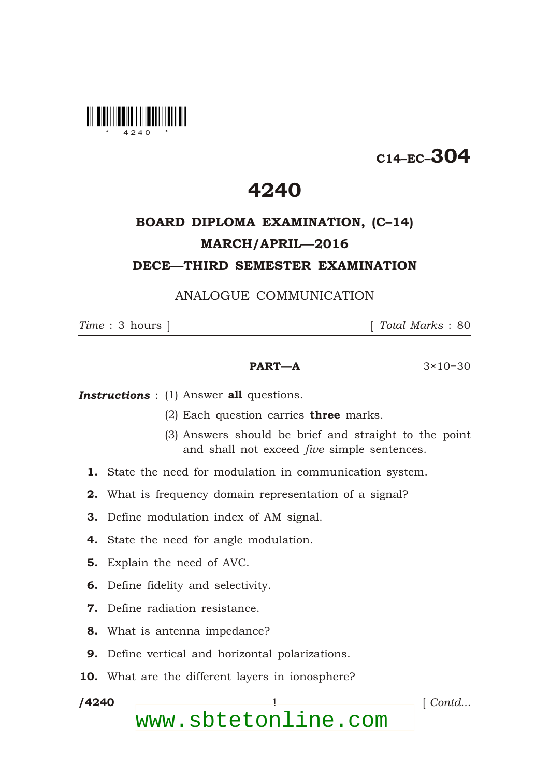

# C14–EC–304

## 4240

## BOARD DIPLOMA EXAMINATION, (C–14) MARCH/APRIL—2016 DECE—THIRD SEMESTER EXAMINATION

### ANALOGUE COMMUNICATION

*Time* : 3 hours ] [ *Total Marks* : 80

#### **PART—A**  $3 \times 10 = 30$

**Instructions** : (1) Answer all questions.

- (2) Each question carries **three** marks.
- (3) Answers should be brief and straight to the point and shall not exceed *five* simple sentences.
- 1. State the need for modulation in communication system.
- 2. What is frequency domain representation of a signal?
- 3. Define modulation index of AM signal.
- 4. State the need for angle modulation.
- 5. Explain the need of AVC.
- 6. Define fidelity and selectivity.
- 7. Define radiation resistance.
- 8. What is antenna impedance?
- 9. Define vertical and horizontal polarizations.
- 10. What are the different layers in ionosphere?

/4240

\*

1 *Contd...* 

www.sbtetonline.com